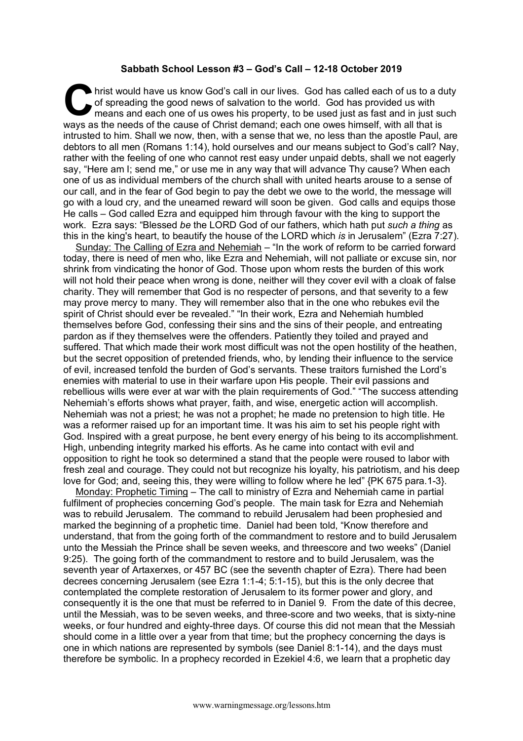## **Sabbath School Lesson #3 – God's Call – 12-18 October 2019**

hrist would have us know God's call in our lives. God has called each of us to a duty of spreading the good news of salvation to the world. God has provided us with means and each one of us owes his property, to be used just as fast and in just such ways as the needs of the cause of Christ demand; each one owes himself, with all that is intrusted to him. Shall we now, then, with a sense that we, no less than the apostle Paul, are debtors to all men (Romans 1:14), hold ourselves and our means subject to God's call? Nay, rather with the feeling of one who cannot rest easy under unpaid debts, shall we not eagerly say, "Here am I; send me," or use me in any way that will advance Thy cause? When each one of us as individual members of the church shall with united hearts arouse to a sense of our call, and in the fear of God begin to pay the debt we owe to the world, the message will go with a loud cry, and the unearned reward will soon be given. God calls and equips those He calls – God called Ezra and equipped him through favour with the king to support the work. Ezra says: "Blessed *be* the LORD God of our fathers, which hath put *such a thing* as this in the king's heart, to beautify the house of the LORD which *is* in Jerusalem" (Ezra 7:27). C of

Sunday: The Calling of Ezra and Nehemiah – "In the work of reform to be carried forward today, there is need of men who, like Ezra and Nehemiah, will not palliate or excuse sin, nor shrink from vindicating the honor of God. Those upon whom rests the burden of this work will not hold their peace when wrong is done, neither will they cover evil with a cloak of false charity. They will remember that God is no respecter of persons, and that severity to a few may prove mercy to many. They will remember also that in the one who rebukes evil the spirit of Christ should ever be revealed." "In their work, Ezra and Nehemiah humbled themselves before God, confessing their sins and the sins of their people, and entreating pardon as if they themselves were the offenders. Patiently they toiled and prayed and suffered. That which made their work most difficult was not the open hostility of the heathen, but the secret opposition of pretended friends, who, by lending their influence to the service of evil, increased tenfold the burden of God's servants. These traitors furnished the Lord's enemies with material to use in their warfare upon His people. Their evil passions and rebellious wills were ever at war with the plain requirements of God." "The success attending Nehemiah's efforts shows what prayer, faith, and wise, energetic action will accomplish. Nehemiah was not a priest; he was not a prophet; he made no pretension to high title. He was a reformer raised up for an important time. It was his aim to set his people right with God. Inspired with a great purpose, he bent every energy of his being to its accomplishment. High, unbending integrity marked his efforts. As he came into contact with evil and opposition to right he took so determined a stand that the people were roused to labor with fresh zeal and courage. They could not but recognize his loyalty, his patriotism, and his deep love for God; and, seeing this, they were willing to follow where he led" {PK 675 para.1-3}.

Monday: Prophetic Timing – The call to ministry of Ezra and Nehemiah came in partial fulfilment of prophecies concerning God's people. The main task for Ezra and Nehemiah was to rebuild Jerusalem. The command to rebuild Jerusalem had been prophesied and marked the beginning of a prophetic time. Daniel had been told, "Know therefore and understand, that from the going forth of the commandment to restore and to build Jerusalem unto the Messiah the Prince shall be seven weeks, and threescore and two weeks" (Daniel 9:25). The going forth of the commandment to restore and to build Jerusalem, was the seventh year of Artaxerxes, or 457 BC (see the seventh chapter of Ezra). There had been decrees concerning Jerusalem (see Ezra 1:1-4; 5:1-15), but this is the only decree that contemplated the complete restoration of Jerusalem to its former power and glory, and consequently it is the one that must be referred to in Daniel 9. From the date of this decree, until the Messiah, was to be seven weeks, and three-score and two weeks, that is sixty-nine weeks, or four hundred and eighty-three days. Of course this did not mean that the Messiah should come in a little over a year from that time; but the prophecy concerning the days is one in which nations are represented by symbols (see Daniel 8:1-14), and the days must therefore be symbolic. In a prophecy recorded in Ezekiel 4:6, we learn that a prophetic day